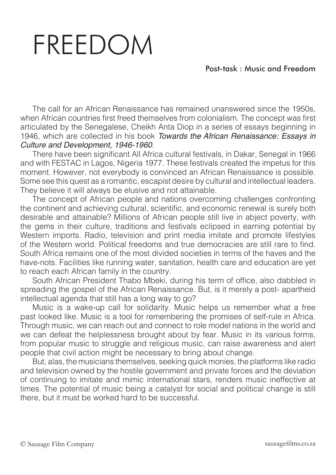## FREEDOM

## Post-task : Music and Freedom

The call for an African Renaissance has remained unanswered since the 1950s, when African countries first freed themselves from colonialism. The concept was first articulated by the Senegalese, Cheikh Anta Diop in a series of essays beginning in 1946, which are collected in his book *Towards the African Renaissance: Essays in Culture and Development, 1946-1960*.

There have been significant All Africa cultural festivals, in Dakar, Senegal in 1966 and with FESTAC in Lagos, Nigeria 1977. These festivals created the impetus for this moment. However, not everybody is convinced an African Renaissance is possible. Some see this quest as a romantic, escapist desire by cultural and intellectual leaders. They believe it will always be elusive and not attainable.

The concept of African people and nations overcoming challenges confronting the continent and achieving cultural, scientific, and economic renewal is surely both desirable and attainable? Millions of African people still live in abject poverty, with the gems in their culture, traditions and festivals eclipsed in earning potential by Western imports. Radio, television and print media imitate and promote lifestyles of the Western world. Political freedoms and true democracies are still rare to find. South Africa remains one of the most divided societies in terms of the haves and the have-nots. Facilities like running water, sanitation, health care and education are yet to reach each African family in the country.

South African President Thabo Mbeki, during his term of office, also dabbled in spreading the gospel of the African Renaissance. But, is it merely a post- apartheid intellectual agenda that still has a long way to go?

Music is a wake-up call for solidarity. Music helps us remember what a free past looked like. Music is a tool for remembering the promises of self-rule in Africa. Through music, we can reach out and connect to role model nations in the world and we can defeat the helplessness brought about by fear. Music in its various forms, from popular music to struggle and religious music, can raise awareness and alert people that civil action might be necessary to bring about change.

But, alas, the musicians themselves, seeking quick monies, the platforms like radio and television owned by the hostile government and private forces and the deviation of continuing to imitate and mimic international stars, renders music ineffective at times. The potential of music being a catalyst for social and political change is still there, but it must be worked hard to be successful.